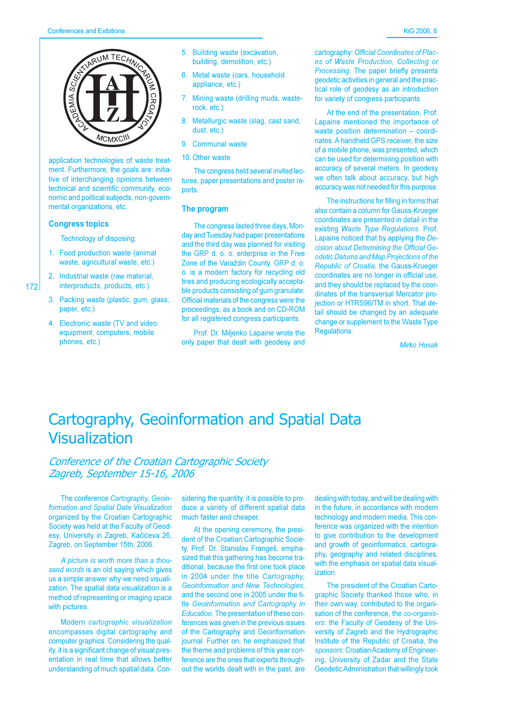

application technologies of waste treatment. Furthermore, the goals are: initiative of interchanging opinions between technical and scientific community, economic and political subjects, non-governmental organizations, etc.

#### **Congress topics**

 $172$ 

Technology of disposing:

- 1. Food production waste (animal waste, agricultural waste, etc.)
- 2. Industrial waste (raw material, interproducts, products, etc.)
- 3. Packing waste (plastic, gum, glass, paper, etc.)
- 4. Electronic waste (TV and video equipment, computers, mobile phones, etc.)
- 5. Building waste (excavation, building, demolition, etc.)
- 6. Metal waste (cars, household appliance, etc.)
- 7. Mining waste (drilling muds, wasterock, etc.)
- 8. Metallurgic waste (slag, cast sand, dust. etc.)
- 9. Communal waste
- 10 Other waste

The congress held several invited lectures, paper presentations and poster reports.

#### The program

The congress lasted three days, Monday and Tuesday had paper presentations and the third day was planned for visiting the GRP d. o. o. enterprise in the Free Zone of the Varaždin County. GRP d. o. o. is a modern factory for recycling old tires and producing ecologically acceptable products consisting of gum granulate. Official materials of the congress were the proceedings, as a book and on CD-ROM for all registered congress participants.

Prof. Dr. Miljenko Lapaine wrote the only paper that dealt with geodesy and

cartography: Official Coordinates of Places of Waste Production, Collecting or Processing. The paper briefly presents geodetic activities in general and the practical role of geodesy as an introduction for variety of congress participants.

At the end of the presentation. Prof. Lapaine mentioned the importance of waste position determination - coordinates. A handheld GPS receiver, the size of a mobile phone, was presented, which can be used for determining position with accuracy of several meters. In geodesy we often talk about accuracy, but high accuracy was not needed for this purpose.

The instructions for filling in forms that also contain a column for Gauss-Krueger coordinates are presented in detail in the existing Waste Type Regulations. Prof. Lapaine noticed that by applying the Decision about Determining the Official Geodetic Datums and Map Projections of the Republic of Croatia, the Gauss-Krueger coordinates are no longer in official use. and they should be replaced by the coordinates of the transversal Mercator projection or HTRS96/TM in short. That detail should be changed by an adequate change or supplement to the Waste Type Regulations.

Mirko Husak

### Cartography, Geoinformation and Spatial Data Visualization

### Conference of the Croatian Cartographic Society Zagreb, September 15-16, 2006

The conference Cartography, Geoinformation and Spatial Data Visualization organized by the Croatian Cartographic Society was held at the Faculty of Geodesy, University in Zagreb, Kačićeva 26, Zagreb, on September 15th, 2006.

A picture is worth more than a thousand words is an old saying which gives us a simple answer why we need visualization. The spatial data visualization is a method of representing or imaging space with pictures.

Modern cartographic visualization encompasses digital cartography and computer graphics. Considering the quality, it is a significant change of visual presentation in real time that allows better understanding of much spatial data. Con-

sidering the quantity, it is possible to produce a variety of different spatial data much faster and cheaper.

At the opening ceremony, the president of the Croatian Cartographic Society, Prof. Dr. Stanislav Frangeš, emphasized that this gathering has become traditional, because the first one took place in 2004 under the title Cartography. Geoinformation and New Technologies, and the second one in 2005 under the title Geoinformation and Cartography in Education. The presentation of these conferences was given in the previous issues of the Cartography and Geoinformation journal. Further on, he emphasized that the theme and problems of this year conference are the ones that experts throughout the worlds dealt with in the past, are

dealing with today, and will be dealing with in the future, in accordance with modern technology and modern media. This conference was organized with the intention to give contribution to the development and growth of geoinformatics, cartography, geography and related disciplines, with the emphasis on spatial data visualization.

The president of the Croatian Cartographic Society thanked those who, in their own way, contributed to the organisation of the conference, the co-organisers: the Faculty of Geodesy of the University of Zagreb and the Hydrographic Institute of the Republic of Croatia, the sponsors: Croatian Academy of Engineering, University of Zadar and the State Geodetic Administration that willingly took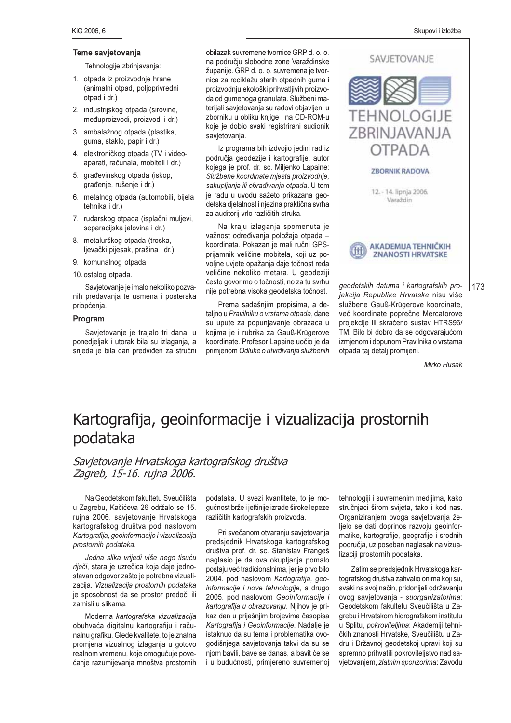#### **Teme savietovania**

#### Tehnologije zbrinjavanja:

- 1. otpada iz proizvodnje hrane (animalni otpad, polioprivredni otpad i dr.)
- 2. industrijskog otpada (sirovine, međuproizvodi, proizvodi i dr.)
- 3. ambalažnog otpada (plastika. quma, staklo, papir i dr.)
- 4. elektroničkog otpada (TV i videoaparati, računala, mobiteli i dr.)
- 5. građevinskog otpada (iskop. građenje, rušenje i dr.)
- 6. metalnog otpada (automobili, bijela tehnika i dr.)
- 7. rudarskog otpada (isplačni mulievi. separacijska jalovina i dr.)
- 8. metalurškog otpada (troska. ljevački pijesak, prašina i dr.)
- 9. komunalnog otpada
- 10. ostalog otpada.

Savietovanie je imalo nekoliko pozvanih predavania te usmena i posterska priopćenja.

#### Program

Savjetovanje je trajalo tri dana: u ponedjeljak i utorak bila su izlaganja, a srijeda je bila dan predviđen za stručni

obilazak suvremene tvornice GRP d. o. o. na području slobodne zone Varaždinske županije. GRP d. o. o. suvremena je tvornica za reciklažu starih otpadnih guma i proizvodnju ekološki prihvatljivih proizvoda od gumenoga granulata. Službeni materijali savjetovanja su radovi objavljeni u zborniku u obliku knjige i na CD-ROM-u koje je dobio svaki registrirani sudionik savjetovanja.

Iz programa bih izdvojio jedini rad iz područja geodezije i kartografije, autor kojega je prof. dr. sc. Miljenko Lapaine: Službene koordinate miesta proizvodnie. sakupljanja ili obrađivanja otpada. U tom je radu u uvodu sažeto prikazana geodetska djelatnost i njezina praktična svrha za auditorij vrlo različitih struka.

Na kraiu izlagania spomenuta je važnost određivanja položaja otpada koordinata. Pokazan je mali ručni GPSprijamnik veličine mobitela, koji uz povoljne uvjete opažanja daje točnost reda veličine nekoliko metara. U geodeziji često govorimo o točnosti, no za tu svrhu nije potrebna visoka geodetska točnost.

Prema sadašniim propisima, a detalino u *Pravilniku o vrstama otpada*, dane su upute za popunjavanje obrazaca u kojima je i rubrika za Gauß-Krügerove koordinate. Profesor Lapaine uočio je da primjenom Odluke o utvrđivanja službenih

**SAVJETOVANJE TEHNOLOGIJE** ZBRINJAVANJA **OTPADA ZBORNIK RADOVA** 12. - 14. lipnja 2006. Varaždin



aeodetskih datuma i kartografskih pro*iekcija Republike Hrvatske* nisu više službene Gauß-Krügerove koordinate, već koordinate poprečne Mercatorove projekcije ili skraćeno sustav HTRS96/ TM. Bilo bi dobro da se odgovarajućom izmienom i dopunom Pravilnika o vrstama otpada tai detali promiieni.

*Mirko Husak* 

173

## Kartografija, geoinformacije i vizualizacija prostornih podataka

### Savietovanie Hrvatskoga kartografskog društva Zagreb, 15-16, ruina 2006.

Na Geodetskom fakultetu Sveučilišta u Zagrebu, Kačićeva 26 održalo se 15. ruina 2006. savietovanie Hrvatskoga kartografskog društva pod naslovom  $\kappa$ *kartografija, geojnformacije i vizualizacija prostornih* podataka.

*Jedna slika vrijedi više nego tisuću* riječi, stara je uzrečica koja daje jednostavan odgovor zašto je potrebna vizualizacija. Vizualizacija prostornih podataka je sposobnost da se prostor predoči ili zamisli u slikama.

Moderna kartografska vizualizacija obuhvaća digitalnu kartografiju i računalnu grafiku. Glede kvalitete, to je znatna promiena vizualnog izlagania u gotovo realnom vremenu, koje omogućuje povećanie razumijevania mnoštva prostornih

podataka. U svezi kvantitete, to je mogućnost brže i jeftinije izrade široke lepeze različitih kartografskih proizvoda.

Pri svečanom otvaraniu savietovania predsiednik Hrvatskoga kartografskog društva prof. dr. sc. Stanislav Frangeš naglasio je da ova okupliania pomalo postaju već tradicionalnima, jer je prvo bilo 2004. pod naslovom Kartografija, geo*informaciie i nove tehnologiie*, a drugo 2005. pod naslovom Geoinformacije i kartografija u obrazovanju. Nijhov je prikaz dan u prijašnjim brojevima časopisa Kartografija i Geoinformacije. Nadalje je istaknuo da su tema i problematika ovogodišnjega savjetovanja takvi da su se niom bavili, bave se danas, a bavit će se i u budućnosti, primiereno suvremenoi

tehnologiii i suvremenim mediiima, kako stručniaci širom svijeta, tako i kod nas. Organiziraniem ovoga savietovania željelo se dati doprinos razvoju geoinformatike, kartografije, geografije i srodnih područja, uz poseban naglasak na vizualizaciji prostornih podataka.

Zatim se predsiednik Hrvatskoga kartografskog društva zahvalio onima koji su. svaki na svoj način, pridonijeli održavanju ovog savietovania - suorganizatorima: Geodetskom fakultetu Sveučilišta u Zaarebu i Hrvatskom hidrografskom institutu u Splitu, *pokroviteliima*: Akademiii tehničkih znanosti Hrvatske, Sveučilištu u Zadru i Državnoj geodetskoj upravi koji su spremno prihvatili pokrovitelistvo nad savietovaniem. zlatnim sponzorima: Zavodu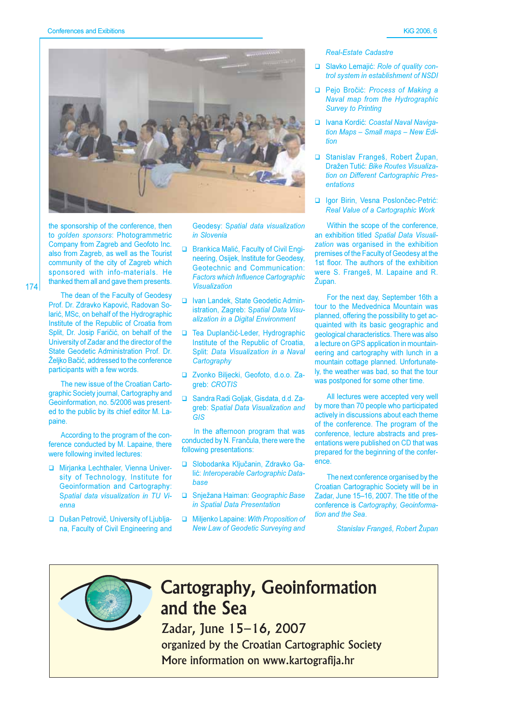

the sponsorship of the conference, then to golden sponsors: Photogrammetric Company from Zagreb and Geofoto Inc. also from Zagreb, as well as the Tourist community of the city of Zagreb which sponsored with info-materials. He thanked them all and gave them presents.

 $174$ 

The dean of the Faculty of Geodesy Prof. Dr. Zdravko Kapović, Radovan Solarić, MSc, on behalf of the Hydrographic Institute of the Republic of Croatia from Split, Dr. Josip Faričić, on behalf of the University of Zadar and the director of the State Geodetic Administration Prof. Dr. Željko Bačić, addressed to the conference participants with a few words.

The new issue of the Croatian Cartographic Society journal, Cartography and Geoinformation, no. 5/2006 was presented to the public by its chief editor M. Lanaine

According to the program of the conference conducted by M. Lapaine, there were following invited lectures:

- Mirjanka Lechthaler, Vienna University of Technology, Institute for **Geoinformation and Cartography:** Spatial data visualization in TU Vi- $P$
- Dušan Petrovič, University of Ljubljana, Faculty of Civil Engineering and

Geodesy: Spatial data visualization in Slovenia

- □ Brankica Malić, Faculty of Civil Engineering, Osijek, Institute for Geodesy, Geotechnic and Communication: **Factors which Influence Cartographic Visualization**
- Ivan Landek, State Geodetic Administration, Zagreb: Spatial Data Visualization in a Digital Environment
- □ Tea Duplančić-Leder, Hydrographic Institute of the Republic of Croatia, Split: Data Visualization in a Naval Cartography
- Zvonko Biljecki, Geofoto, d.o.o. Zaareb: CROTIS
- □ Sandra Radi Goljak, Gisdata, d.d. Zagreb: Spatial Data Visualization and  $GIS$

In the afternoon program that was conducted by N. Frančula, there were the following presentations:

- □ Slobodanka Ključanin, Zdravko Galić: Interoperable Cartographic Datahase
- □ Snježana Haiman: Geographic Base in Spatial Data Presentation
- Milienko Lapaine: With Proposition of **New Law of Geodetic Surveying and**

#### **Real-Estate Cadastre**

- Slavko Lemajić: Role of quality control system in establishment of NSDI
- Pejo Bročić: Process of Making a Naval map from the Hydrographic **Survey to Printing**
- □ Ivana Kordić: Coastal Naval Navigation Maps - Small maps - New Edition
- □ Stanislav Frangeš, Robert Župan, Dražen Tutić: Bike Routes Visualization on Different Cartographic Presentations
- Iqor Birin, Vesna Poslončec-Petrić: Real Value of a Cartographic Work

Within the scope of the conference, an exhibition titled Spatial Data Visualization was organised in the exhibition premises of the Faculty of Geodesy at the 1st floor. The authors of the exhibition were S. Frangeš, M. Lapaine and R. Župan.

For the next day, September 16th a tour to the Medvednica Mountain was planned, offering the possibility to get acquainted with its basic geographic and geological characteristics. There was also a lecture on GPS application in mountaineering and cartography with lunch in a mountain cottage planned. Unfortunately, the weather was bad, so that the tour was postponed for some other time.

All lectures were accepted very well by more than 70 people who participated actively in discussions about each theme of the conference. The program of the conference, lecture abstracts and presentations were published on CD that was prepared for the beginning of the conference

The next conference organised by the Croatian Cartographic Society will be in Zadar, June 15-16, 2007. The title of the conference is Cartography, Geoinformation and the Sea.

Stanislav Frangeš, Robert Župan



## **Cartography, Geoinformation** and the Sea

Zadar, June 15-16, 2007 organized by the Croatian Cartographic Society More information on www.kartografija.hr